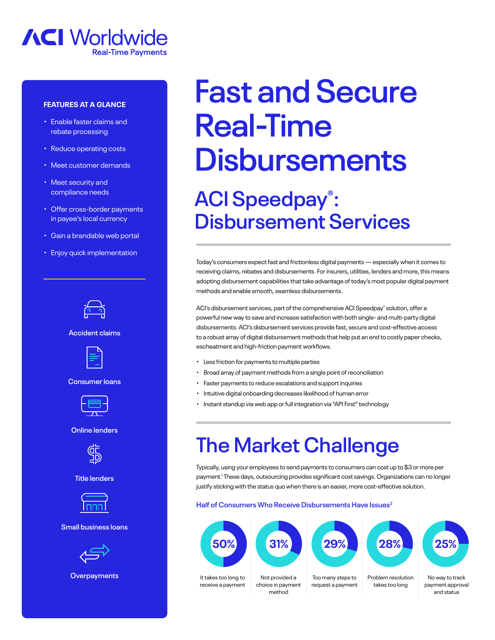

### **FEATURES AT A GLANCE**

- Enable faster claims and rebate processing
- Reduce operating costs
- Meet customer demands
- Meet security and compliance needs
- Offer cross-border payments in payee's local currency
- Gain a brandable web portal
- Enjoy quick implementation



**Accident claims**



**Consumer loans**



**Online lenders**



**Title lenders**



#### **Small business loans**



**Overpayments**

# **Fast and Secure Real-Time Disbursements ACI Speedpay® : Disbursement Services**

Today's consumers expect fast and frictionless digital payments — especially when it comes to receiving claims, rebates and disbursements. For insurers, utilities, lenders and more, this means adopting disbursement capabilities that take advantage of today's most popular digital payment methods and enable smooth, seamless disbursements.

ACI's disbursement services, part of the comprehensive ACI Speedpay® solution, offer a powerful new way to save and increase satisfaction with both single- and multi-party digital disbursements. ACI's disbursement services provide fast, secure and cost-effective access to a robust array of digital disbursement methods that help put an end to costly paper checks, escheatment and high-friction payment workflows.

- Less friction for payments to multiple parties
- Broad array of payment methods from a single point of reconciliation
- Faster payments to reduce escalations and support inquiries
- Intuitive digital onboarding decreases likelihood of human error
- Instant standup via web app or full integration via "API First" technology

# **The Market Challenge**

Typically, using your employees to send payments to consumers can cost up to \$3 or more per payment.1 These days, outsourcing provides significant cost savings. Organizations can no longer justify sticking with the status quo when there is an easier, more cost-effective solution.

#### **Half of Consumers Who Receive Disbursements Have Issues2**



It takes too long to receive a payment





Too many steps to request a payment



Problem resolution takes too long



No way to track payment approval and status